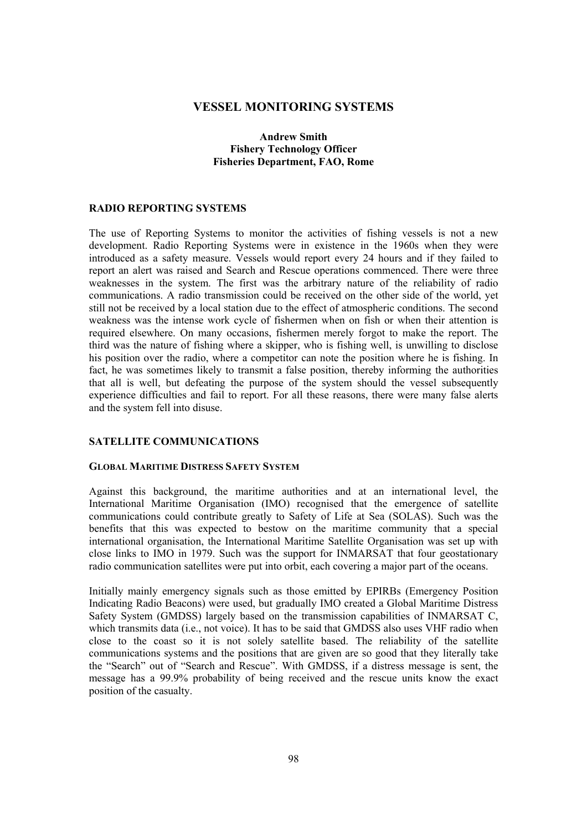# **VESSEL MONITORING SYSTEMS**

# **Andrew Smith Fishery Technology Officer Fisheries Department, FAO, Rome**

#### **RADIO REPORTING SYSTEMS**

The use of Reporting Systems to monitor the activities of fishing vessels is not a new development. Radio Reporting Systems were in existence in the 1960s when they were introduced as a safety measure. Vessels would report every 24 hours and if they failed to report an alert was raised and Search and Rescue operations commenced. There were three weaknesses in the system. The first was the arbitrary nature of the reliability of radio communications. A radio transmission could be received on the other side of the world, yet still not be received by a local station due to the effect of atmospheric conditions. The second weakness was the intense work cycle of fishermen when on fish or when their attention is required elsewhere. On many occasions, fishermen merely forgot to make the report. The third was the nature of fishing where a skipper, who is fishing well, is unwilling to disclose his position over the radio, where a competitor can note the position where he is fishing. In fact, he was sometimes likely to transmit a false position, thereby informing the authorities that all is well, but defeating the purpose of the system should the vessel subsequently experience difficulties and fail to report. For all these reasons, there were many false alerts and the system fell into disuse.

### **SATELLITE COMMUNICATIONS**

#### **GLOBAL MARITIME DISTRESS SAFETY SYSTEM**

Against this background, the maritime authorities and at an international level, the International Maritime Organisation (IMO) recognised that the emergence of satellite communications could contribute greatly to Safety of Life at Sea (SOLAS). Such was the benefits that this was expected to bestow on the maritime community that a special international organisation, the International Maritime Satellite Organisation was set up with close links to IMO in 1979. Such was the support for INMARSAT that four geostationary radio communication satellites were put into orbit, each covering a major part of the oceans.

Initially mainly emergency signals such as those emitted by EPIRBs (Emergency Position Indicating Radio Beacons) were used, but gradually IMO created a Global Maritime Distress Safety System (GMDSS) largely based on the transmission capabilities of INMARSAT C, which transmits data (i.e., not voice). It has to be said that GMDSS also uses VHF radio when close to the coast so it is not solely satellite based. The reliability of the satellite communications systems and the positions that are given are so good that they literally take the "Search" out of "Search and Rescue". With GMDSS, if a distress message is sent, the message has a 99.9% probability of being received and the rescue units know the exact position of the casualty.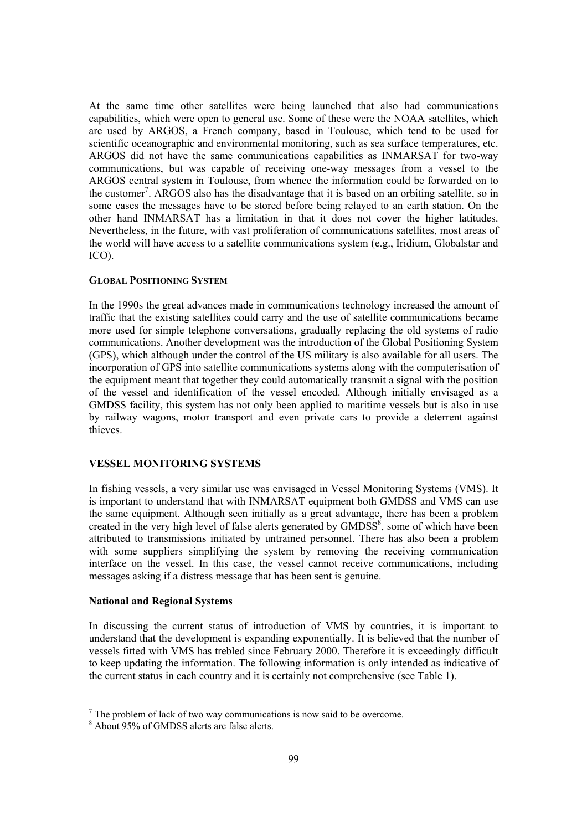At the same time other satellites were being launched that also had communications capabilities, which were open to general use. Some of these were the NOAA satellites, which are used by ARGOS, a French company, based in Toulouse, which tend to be used for scientific oceanographic and environmental monitoring, such as sea surface temperatures, etc. ARGOS did not have the same communications capabilities as INMARSAT for two-way communications, but was capable of receiving one-way messages from a vessel to the ARGOS central system in Toulouse, from whence the information could be forwarded on to the customer<sup>7</sup>. ARGOS also has the disadvantage that it is based on an orbiting satellite, so in some cases the messages have to be stored before being relayed to an earth station. On the other hand INMARSAT has a limitation in that it does not cover the higher latitudes. Nevertheless, in the future, with vast proliferation of communications satellites, most areas of the world will have access to a satellite communications system (e.g., Iridium, Globalstar and ICO).

#### **GLOBAL POSITIONING SYSTEM**

In the 1990s the great advances made in communications technology increased the amount of traffic that the existing satellites could carry and the use of satellite communications became more used for simple telephone conversations, gradually replacing the old systems of radio communications. Another development was the introduction of the Global Positioning System (GPS), which although under the control of the US military is also available for all users. The incorporation of GPS into satellite communications systems along with the computerisation of the equipment meant that together they could automatically transmit a signal with the position of the vessel and identification of the vessel encoded. Although initially envisaged as a GMDSS facility, this system has not only been applied to maritime vessels but is also in use by railway wagons, motor transport and even private cars to provide a deterrent against thieves.

# **VESSEL MONITORING SYSTEMS**

In fishing vessels, a very similar use was envisaged in Vessel Monitoring Systems (VMS). It is important to understand that with INMARSAT equipment both GMDSS and VMS can use the same equipment. Although seen initially as a great advantage, there has been a problem created in the very high level of false alerts generated by  $\text{GMDSS}^8$ , some of which have been attributed to transmissions initiated by untrained personnel. There has also been a problem with some suppliers simplifying the system by removing the receiving communication interface on the vessel. In this case, the vessel cannot receive communications, including messages asking if a distress message that has been sent is genuine.

### **National and Regional Systems**

In discussing the current status of introduction of VMS by countries, it is important to understand that the development is expanding exponentially. It is believed that the number of vessels fitted with VMS has trebled since February 2000. Therefore it is exceedingly difficult to keep updating the information. The following information is only intended as indicative of the current status in each country and it is certainly not comprehensive (see Table 1).

 $<sup>7</sup>$  The problem of lack of two way communications is now said to be overcome.</sup>

<sup>8</sup> About 95% of GMDSS alerts are false alerts.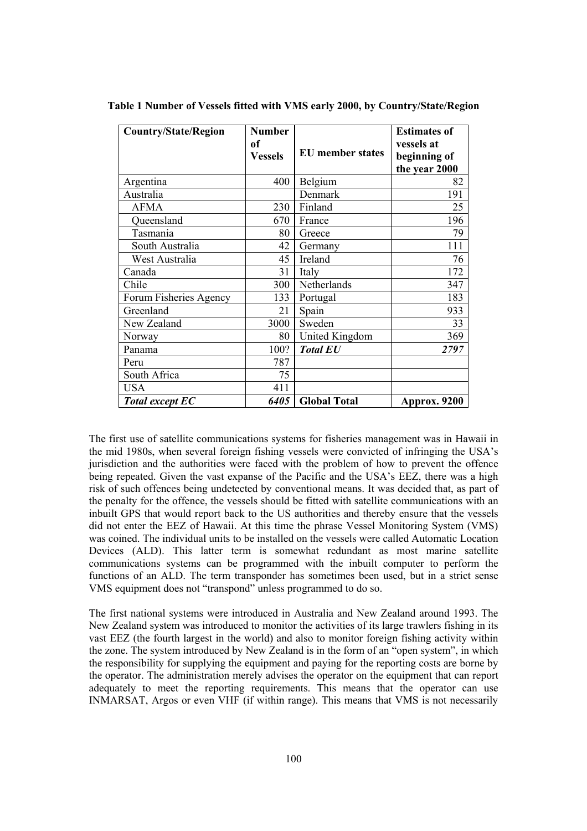| <b>Country/State/Region</b> | <b>Number</b>  |                         | <b>Estimates of</b> |
|-----------------------------|----------------|-------------------------|---------------------|
|                             | of             |                         | vessels at          |
|                             | <b>Vessels</b> | <b>EU</b> member states | beginning of        |
|                             |                |                         | the year 2000       |
| Argentina                   | 400            | Belgium                 | 82                  |
| Australia                   |                | Denmark                 | 191                 |
| <b>AFMA</b>                 | 230            | Finland                 | 25                  |
| Queensland                  | 670            | France                  | 196                 |
| Tasmania                    | 80             | Greece                  | 79                  |
| South Australia             | 42             | Germany                 | 111                 |
| West Australia              | 45             | Ireland                 | 76                  |
| Canada                      | 31             | Italy                   | 172                 |
| Chile                       | 300            | Netherlands             | 347                 |
| Forum Fisheries Agency      | 133            | Portugal                | 183                 |
| Greenland                   | 21             | Spain                   | 933                 |
| New Zealand                 | 3000           | Sweden                  | 33                  |
| Norway                      | 80             | United Kingdom          | 369                 |
| Panama                      | 100?           | <b>Total EU</b>         | 2797                |
| Peru                        | 787            |                         |                     |
| South Africa                | 75             |                         |                     |
| <b>USA</b>                  | 411            |                         |                     |
| <b>Total except EC</b>      | 6405           | <b>Global Total</b>     | Approx. 9200        |

**Table 1 Number of Vessels fitted with VMS early 2000, by Country/State/Region** 

The first use of satellite communications systems for fisheries management was in Hawaii in the mid 1980s, when several foreign fishing vessels were convicted of infringing the USA's jurisdiction and the authorities were faced with the problem of how to prevent the offence being repeated. Given the vast expanse of the Pacific and the USA's EEZ, there was a high risk of such offences being undetected by conventional means. It was decided that, as part of the penalty for the offence, the vessels should be fitted with satellite communications with an inbuilt GPS that would report back to the US authorities and thereby ensure that the vessels did not enter the EEZ of Hawaii. At this time the phrase Vessel Monitoring System (VMS) was coined. The individual units to be installed on the vessels were called Automatic Location Devices (ALD). This latter term is somewhat redundant as most marine satellite communications systems can be programmed with the inbuilt computer to perform the functions of an ALD. The term transponder has sometimes been used, but in a strict sense VMS equipment does not "transpond" unless programmed to do so.

The first national systems were introduced in Australia and New Zealand around 1993. The New Zealand system was introduced to monitor the activities of its large trawlers fishing in its vast EEZ (the fourth largest in the world) and also to monitor foreign fishing activity within the zone. The system introduced by New Zealand is in the form of an "open system", in which the responsibility for supplying the equipment and paying for the reporting costs are borne by the operator. The administration merely advises the operator on the equipment that can report adequately to meet the reporting requirements. This means that the operator can use INMARSAT, Argos or even VHF (if within range). This means that VMS is not necessarily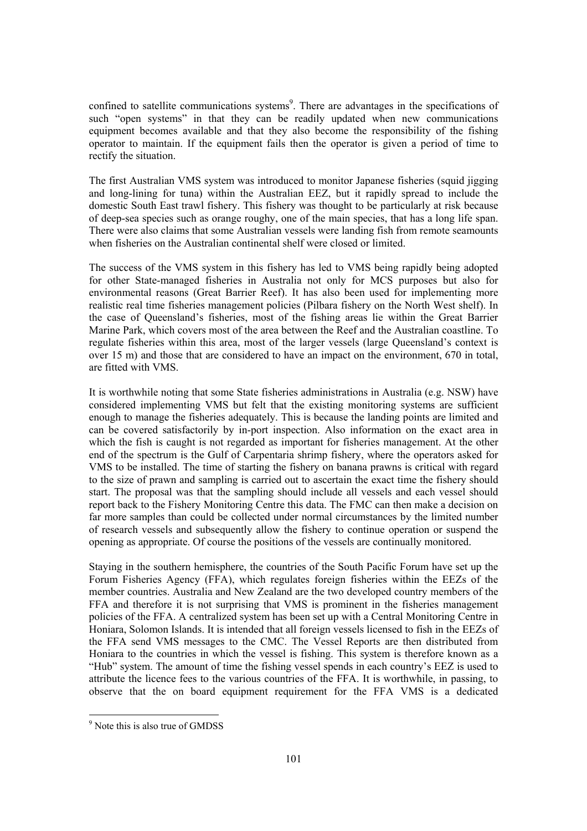confined to satellite communications systems<sup>9</sup>. There are advantages in the specifications of such "open systems" in that they can be readily updated when new communications equipment becomes available and that they also become the responsibility of the fishing operator to maintain. If the equipment fails then the operator is given a period of time to rectify the situation.

The first Australian VMS system was introduced to monitor Japanese fisheries (squid jigging and long-lining for tuna) within the Australian EEZ, but it rapidly spread to include the domestic South East trawl fishery. This fishery was thought to be particularly at risk because of deep-sea species such as orange roughy, one of the main species, that has a long life span. There were also claims that some Australian vessels were landing fish from remote seamounts when fisheries on the Australian continental shelf were closed or limited.

The success of the VMS system in this fishery has led to VMS being rapidly being adopted for other State-managed fisheries in Australia not only for MCS purposes but also for environmental reasons (Great Barrier Reef). It has also been used for implementing more realistic real time fisheries management policies (Pilbara fishery on the North West shelf). In the case of Queensland's fisheries, most of the fishing areas lie within the Great Barrier Marine Park, which covers most of the area between the Reef and the Australian coastline. To regulate fisheries within this area, most of the larger vessels (large Queensland's context is over 15 m) and those that are considered to have an impact on the environment, 670 in total, are fitted with VMS.

It is worthwhile noting that some State fisheries administrations in Australia (e.g. NSW) have considered implementing VMS but felt that the existing monitoring systems are sufficient enough to manage the fisheries adequately. This is because the landing points are limited and can be covered satisfactorily by in-port inspection. Also information on the exact area in which the fish is caught is not regarded as important for fisheries management. At the other end of the spectrum is the Gulf of Carpentaria shrimp fishery, where the operators asked for VMS to be installed. The time of starting the fishery on banana prawns is critical with regard to the size of prawn and sampling is carried out to ascertain the exact time the fishery should start. The proposal was that the sampling should include all vessels and each vessel should report back to the Fishery Monitoring Centre this data. The FMC can then make a decision on far more samples than could be collected under normal circumstances by the limited number of research vessels and subsequently allow the fishery to continue operation or suspend the opening as appropriate. Of course the positions of the vessels are continually monitored.

Staying in the southern hemisphere, the countries of the South Pacific Forum have set up the Forum Fisheries Agency (FFA), which regulates foreign fisheries within the EEZs of the member countries. Australia and New Zealand are the two developed country members of the FFA and therefore it is not surprising that VMS is prominent in the fisheries management policies of the FFA. A centralized system has been set up with a Central Monitoring Centre in Honiara, Solomon Islands. It is intended that all foreign vessels licensed to fish in the EEZs of the FFA send VMS messages to the CMC. The Vessel Reports are then distributed from Honiara to the countries in which the vessel is fishing. This system is therefore known as a "Hub" system. The amount of time the fishing vessel spends in each country's EEZ is used to attribute the licence fees to the various countries of the FFA. It is worthwhile, in passing, to observe that the on board equipment requirement for the FFA VMS is a dedicated

<sup>&</sup>lt;sup>9</sup> Note this is also true of GMDSS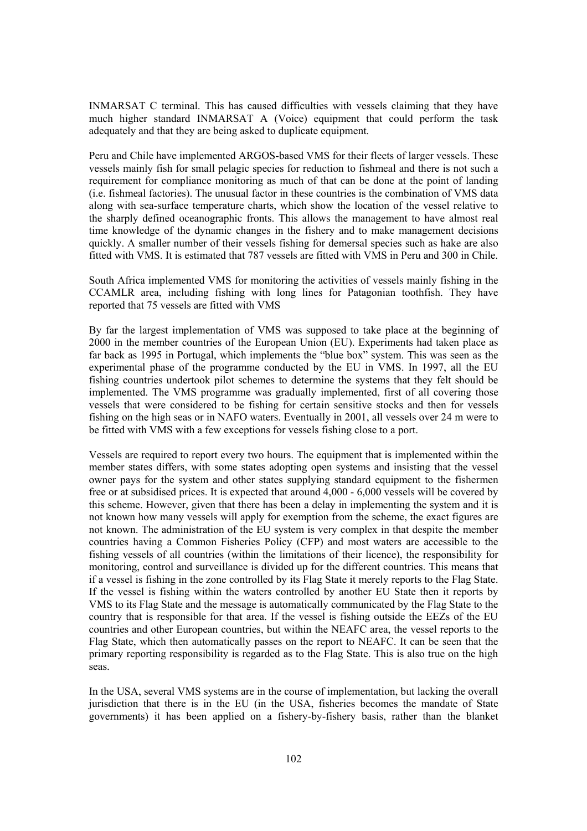INMARSAT C terminal. This has caused difficulties with vessels claiming that they have much higher standard INMARSAT A (Voice) equipment that could perform the task adequately and that they are being asked to duplicate equipment.

Peru and Chile have implemented ARGOS-based VMS for their fleets of larger vessels. These vessels mainly fish for small pelagic species for reduction to fishmeal and there is not such a requirement for compliance monitoring as much of that can be done at the point of landing (i.e. fishmeal factories). The unusual factor in these countries is the combination of VMS data along with sea-surface temperature charts, which show the location of the vessel relative to the sharply defined oceanographic fronts. This allows the management to have almost real time knowledge of the dynamic changes in the fishery and to make management decisions quickly. A smaller number of their vessels fishing for demersal species such as hake are also fitted with VMS. It is estimated that 787 vessels are fitted with VMS in Peru and 300 in Chile.

South Africa implemented VMS for monitoring the activities of vessels mainly fishing in the CCAMLR area, including fishing with long lines for Patagonian toothfish. They have reported that 75 vessels are fitted with VMS

By far the largest implementation of VMS was supposed to take place at the beginning of 2000 in the member countries of the European Union (EU). Experiments had taken place as far back as 1995 in Portugal, which implements the "blue box" system. This was seen as the experimental phase of the programme conducted by the EU in VMS. In 1997, all the EU fishing countries undertook pilot schemes to determine the systems that they felt should be implemented. The VMS programme was gradually implemented, first of all covering those vessels that were considered to be fishing for certain sensitive stocks and then for vessels fishing on the high seas or in NAFO waters. Eventually in 2001, all vessels over 24 m were to be fitted with VMS with a few exceptions for vessels fishing close to a port.

Vessels are required to report every two hours. The equipment that is implemented within the member states differs, with some states adopting open systems and insisting that the vessel owner pays for the system and other states supplying standard equipment to the fishermen free or at subsidised prices. It is expected that around 4,000 - 6,000 vessels will be covered by this scheme. However, given that there has been a delay in implementing the system and it is not known how many vessels will apply for exemption from the scheme, the exact figures are not known. The administration of the EU system is very complex in that despite the member countries having a Common Fisheries Policy (CFP) and most waters are accessible to the fishing vessels of all countries (within the limitations of their licence), the responsibility for monitoring, control and surveillance is divided up for the different countries. This means that if a vessel is fishing in the zone controlled by its Flag State it merely reports to the Flag State. If the vessel is fishing within the waters controlled by another EU State then it reports by VMS to its Flag State and the message is automatically communicated by the Flag State to the country that is responsible for that area. If the vessel is fishing outside the EEZs of the EU countries and other European countries, but within the NEAFC area, the vessel reports to the Flag State, which then automatically passes on the report to NEAFC. It can be seen that the primary reporting responsibility is regarded as to the Flag State. This is also true on the high seas.

In the USA, several VMS systems are in the course of implementation, but lacking the overall jurisdiction that there is in the EU (in the USA, fisheries becomes the mandate of State governments) it has been applied on a fishery-by-fishery basis, rather than the blanket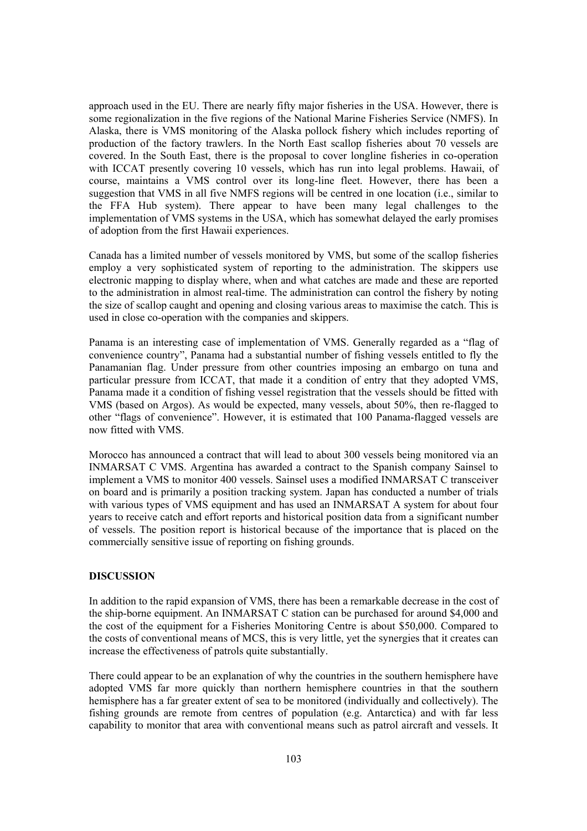approach used in the EU. There are nearly fifty major fisheries in the USA. However, there is some regionalization in the five regions of the National Marine Fisheries Service (NMFS). In Alaska, there is VMS monitoring of the Alaska pollock fishery which includes reporting of production of the factory trawlers. In the North East scallop fisheries about 70 vessels are covered. In the South East, there is the proposal to cover longline fisheries in co-operation with ICCAT presently covering 10 vessels, which has run into legal problems. Hawaii, of course, maintains a VMS control over its long-line fleet. However, there has been a suggestion that VMS in all five NMFS regions will be centred in one location (i.e., similar to the FFA Hub system). There appear to have been many legal challenges to the implementation of VMS systems in the USA, which has somewhat delayed the early promises of adoption from the first Hawaii experiences.

Canada has a limited number of vessels monitored by VMS, but some of the scallop fisheries employ a very sophisticated system of reporting to the administration. The skippers use electronic mapping to display where, when and what catches are made and these are reported to the administration in almost real-time. The administration can control the fishery by noting the size of scallop caught and opening and closing various areas to maximise the catch. This is used in close co-operation with the companies and skippers.

Panama is an interesting case of implementation of VMS. Generally regarded as a "flag of convenience country", Panama had a substantial number of fishing vessels entitled to fly the Panamanian flag. Under pressure from other countries imposing an embargo on tuna and particular pressure from ICCAT, that made it a condition of entry that they adopted VMS, Panama made it a condition of fishing vessel registration that the vessels should be fitted with VMS (based on Argos). As would be expected, many vessels, about 50%, then re-flagged to other "flags of convenience". However, it is estimated that 100 Panama-flagged vessels are now fitted with VMS.

Morocco has announced a contract that will lead to about 300 vessels being monitored via an INMARSAT C VMS. Argentina has awarded a contract to the Spanish company Sainsel to implement a VMS to monitor 400 vessels. Sainsel uses a modified INMARSAT C transceiver on board and is primarily a position tracking system. Japan has conducted a number of trials with various types of VMS equipment and has used an INMARSAT A system for about four years to receive catch and effort reports and historical position data from a significant number of vessels. The position report is historical because of the importance that is placed on the commercially sensitive issue of reporting on fishing grounds.

#### **DISCUSSION**

In addition to the rapid expansion of VMS, there has been a remarkable decrease in the cost of the ship-borne equipment. An INMARSAT C station can be purchased for around \$4,000 and the cost of the equipment for a Fisheries Monitoring Centre is about \$50,000. Compared to the costs of conventional means of MCS, this is very little, yet the synergies that it creates can increase the effectiveness of patrols quite substantially.

There could appear to be an explanation of why the countries in the southern hemisphere have adopted VMS far more quickly than northern hemisphere countries in that the southern hemisphere has a far greater extent of sea to be monitored (individually and collectively). The fishing grounds are remote from centres of population (e.g. Antarctica) and with far less capability to monitor that area with conventional means such as patrol aircraft and vessels. It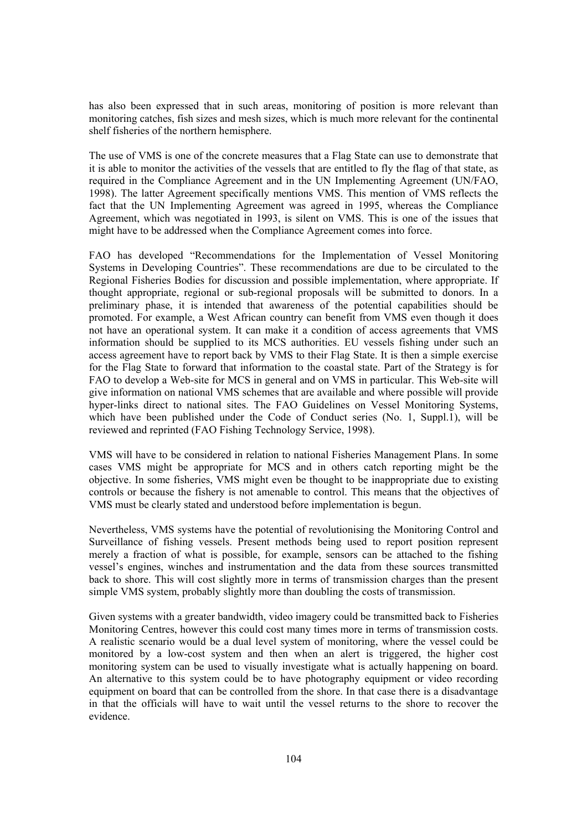has also been expressed that in such areas, monitoring of position is more relevant than monitoring catches, fish sizes and mesh sizes, which is much more relevant for the continental shelf fisheries of the northern hemisphere.

The use of VMS is one of the concrete measures that a Flag State can use to demonstrate that it is able to monitor the activities of the vessels that are entitled to fly the flag of that state, as required in the Compliance Agreement and in the UN Implementing Agreement (UN/FAO, 1998). The latter Agreement specifically mentions VMS. This mention of VMS reflects the fact that the UN Implementing Agreement was agreed in 1995, whereas the Compliance Agreement, which was negotiated in 1993, is silent on VMS. This is one of the issues that might have to be addressed when the Compliance Agreement comes into force.

FAO has developed "Recommendations for the Implementation of Vessel Monitoring Systems in Developing Countries". These recommendations are due to be circulated to the Regional Fisheries Bodies for discussion and possible implementation, where appropriate. If thought appropriate, regional or sub-regional proposals will be submitted to donors. In a preliminary phase, it is intended that awareness of the potential capabilities should be promoted. For example, a West African country can benefit from VMS even though it does not have an operational system. It can make it a condition of access agreements that VMS information should be supplied to its MCS authorities. EU vessels fishing under such an access agreement have to report back by VMS to their Flag State. It is then a simple exercise for the Flag State to forward that information to the coastal state. Part of the Strategy is for FAO to develop a Web-site for MCS in general and on VMS in particular. This Web-site will give information on national VMS schemes that are available and where possible will provide hyper-links direct to national sites. The FAO Guidelines on Vessel Monitoring Systems, which have been published under the Code of Conduct series (No. 1, Suppl.1), will be reviewed and reprinted (FAO Fishing Technology Service, 1998).

VMS will have to be considered in relation to national Fisheries Management Plans. In some cases VMS might be appropriate for MCS and in others catch reporting might be the objective. In some fisheries, VMS might even be thought to be inappropriate due to existing controls or because the fishery is not amenable to control. This means that the objectives of VMS must be clearly stated and understood before implementation is begun.

Nevertheless, VMS systems have the potential of revolutionising the Monitoring Control and Surveillance of fishing vessels. Present methods being used to report position represent merely a fraction of what is possible, for example, sensors can be attached to the fishing vessel's engines, winches and instrumentation and the data from these sources transmitted back to shore. This will cost slightly more in terms of transmission charges than the present simple VMS system, probably slightly more than doubling the costs of transmission.

Given systems with a greater bandwidth, video imagery could be transmitted back to Fisheries Monitoring Centres, however this could cost many times more in terms of transmission costs. A realistic scenario would be a dual level system of monitoring, where the vessel could be monitored by a low-cost system and then when an alert is triggered, the higher cost monitoring system can be used to visually investigate what is actually happening on board. An alternative to this system could be to have photography equipment or video recording equipment on board that can be controlled from the shore. In that case there is a disadvantage in that the officials will have to wait until the vessel returns to the shore to recover the evidence.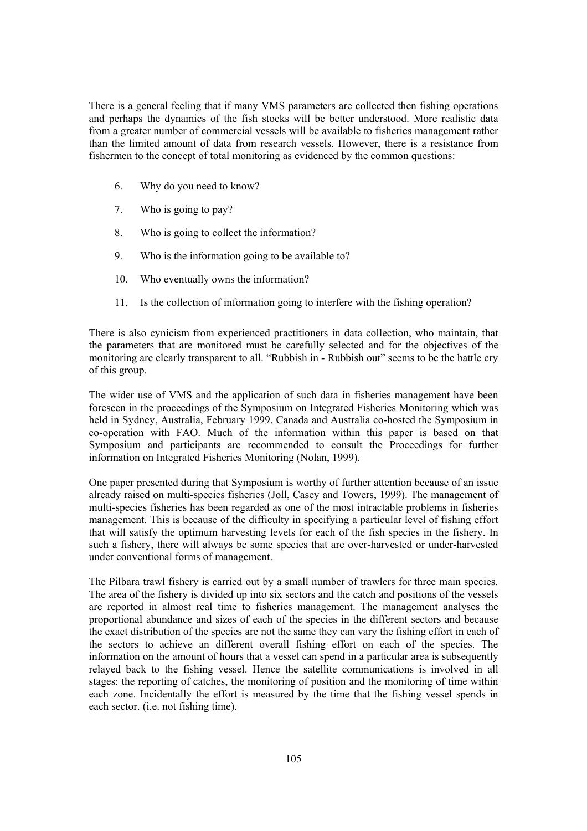There is a general feeling that if many VMS parameters are collected then fishing operations and perhaps the dynamics of the fish stocks will be better understood. More realistic data from a greater number of commercial vessels will be available to fisheries management rather than the limited amount of data from research vessels. However, there is a resistance from fishermen to the concept of total monitoring as evidenced by the common questions:

- 6. Why do you need to know?
- 7. Who is going to pay?
- 8. Who is going to collect the information?
- 9. Who is the information going to be available to?
- 10. Who eventually owns the information?
- 11. Is the collection of information going to interfere with the fishing operation?

There is also cynicism from experienced practitioners in data collection, who maintain, that the parameters that are monitored must be carefully selected and for the objectives of the monitoring are clearly transparent to all. "Rubbish in - Rubbish out" seems to be the battle cry of this group.

The wider use of VMS and the application of such data in fisheries management have been foreseen in the proceedings of the Symposium on Integrated Fisheries Monitoring which was held in Sydney, Australia, February 1999. Canada and Australia co-hosted the Symposium in co-operation with FAO. Much of the information within this paper is based on that Symposium and participants are recommended to consult the Proceedings for further information on Integrated Fisheries Monitoring (Nolan, 1999).

One paper presented during that Symposium is worthy of further attention because of an issue already raised on multi-species fisheries (Joll, Casey and Towers, 1999). The management of multi-species fisheries has been regarded as one of the most intractable problems in fisheries management. This is because of the difficulty in specifying a particular level of fishing effort that will satisfy the optimum harvesting levels for each of the fish species in the fishery. In such a fishery, there will always be some species that are over-harvested or under-harvested under conventional forms of management.

The Pilbara trawl fishery is carried out by a small number of trawlers for three main species. The area of the fishery is divided up into six sectors and the catch and positions of the vessels are reported in almost real time to fisheries management. The management analyses the proportional abundance and sizes of each of the species in the different sectors and because the exact distribution of the species are not the same they can vary the fishing effort in each of the sectors to achieve an different overall fishing effort on each of the species. The information on the amount of hours that a vessel can spend in a particular area is subsequently relayed back to the fishing vessel. Hence the satellite communications is involved in all stages: the reporting of catches, the monitoring of position and the monitoring of time within each zone. Incidentally the effort is measured by the time that the fishing vessel spends in each sector. (i.e. not fishing time).